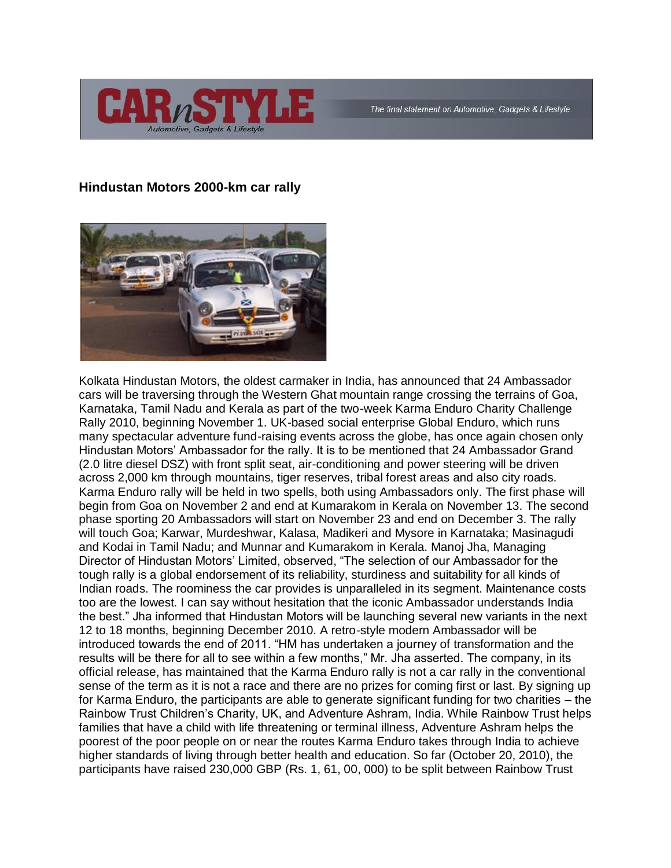

## **Hindustan Motors 2000-km car rally**



Kolkata Hindustan Motors, the oldest carmaker in India, has announced that 24 Ambassador cars will be traversing through the Western Ghat mountain range crossing the terrains of Goa, Karnataka, Tamil Nadu and Kerala as part of the two-week Karma Enduro Charity Challenge Rally 2010, beginning November 1. UK-based social enterprise Global Enduro, which runs many spectacular adventure fund-raising events across the globe, has once again chosen only Hindustan Motors' Ambassador for the rally. It is to be mentioned that 24 Ambassador Grand (2.0 litre diesel DSZ) with front split seat, air-conditioning and power steering will be driven across 2,000 km through mountains, tiger reserves, tribal forest areas and also city roads. Karma Enduro rally will be held in two spells, both using Ambassadors only. The first phase will begin from Goa on November 2 and end at Kumarakom in Kerala on November 13. The second phase sporting 20 Ambassadors will start on November 23 and end on December 3. The rally will touch Goa; Karwar, Murdeshwar, Kalasa, Madikeri and Mysore in Karnataka; Masinagudi and Kodai in Tamil Nadu; and Munnar and Kumarakom in Kerala. Manoj Jha, Managing Director of Hindustan Motors' Limited, observed, "The selection of our Ambassador for the tough rally is a global endorsement of its reliability, sturdiness and suitability for all kinds of Indian roads. The roominess the car provides is unparalleled in its segment. Maintenance costs too are the lowest. I can say without hesitation that the iconic Ambassador understands India the best." Jha informed that Hindustan Motors will be launching several new variants in the next 12 to 18 months, beginning December 2010. A retro-style modern Ambassador will be introduced towards the end of 2011. "HM has undertaken a journey of transformation and the results will be there for all to see within a few months," Mr. Jha asserted. The company, in its official release, has maintained that the Karma Enduro rally is not a car rally in the conventional sense of the term as it is not a race and there are no prizes for coming first or last. By signing up for Karma Enduro, the participants are able to generate significant funding for two charities – the Rainbow Trust Children's Charity, UK, and Adventure Ashram, India. While Rainbow Trust helps families that have a child with life threatening or terminal illness, Adventure Ashram helps the poorest of the poor people on or near the routes Karma Enduro takes through India to achieve higher standards of living through better health and education. So far (October 20, 2010), the participants have raised 230,000 GBP (Rs. 1, 61, 00, 000) to be split between Rainbow Trust